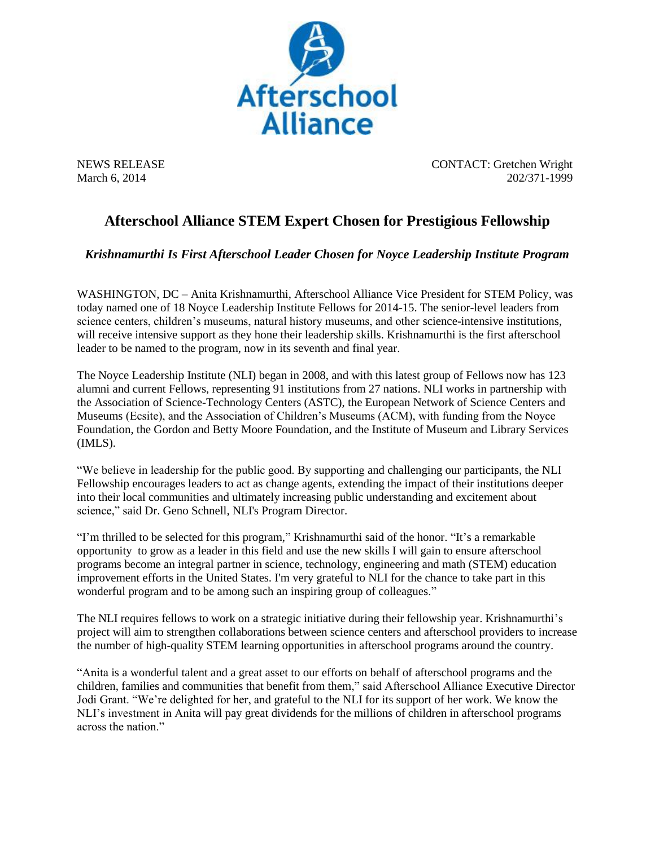

NEWS RELEASE CONTACT: Gretchen Wright March 6, 2014 202/371-1999

## **Afterschool Alliance STEM Expert Chosen for Prestigious Fellowship**

*Krishnamurthi Is First Afterschool Leader Chosen for Noyce Leadership Institute Program* 

WASHINGTON, DC – Anita Krishnamurthi, Afterschool Alliance Vice President for STEM Policy, was today named one of 18 Noyce Leadership Institute Fellows for 2014-15. The senior-level leaders from science centers, children's museums, natural history museums, and other science-intensive institutions, will receive intensive support as they hone their leadership skills. Krishnamurthi is the first afterschool leader to be named to the program, now in its seventh and final year.

The Noyce Leadership Institute (NLI) began in 2008, and with this latest group of Fellows now has 123 alumni and current Fellows, representing 91 institutions from 27 nations. NLI works in partnership with the Association of Science-Technology Centers (ASTC), the European Network of Science Centers and Museums (Ecsite), and the Association of Children's Museums (ACM), with funding from the Noyce Foundation, the Gordon and Betty Moore Foundation, and the Institute of Museum and Library Services (IMLS).

"We believe in leadership for the public good. By supporting and challenging our participants, the NLI Fellowship encourages leaders to act as change agents, extending the impact of their institutions deeper into their local communities and ultimately increasing public understanding and excitement about science," said Dr. Geno Schnell, NLI's Program Director.

"I'm thrilled to be selected for this program," Krishnamurthi said of the honor. "It's a remarkable opportunity to grow as a leader in this field and use the new skills I will gain to ensure afterschool programs become an integral partner in science, technology, engineering and math (STEM) education improvement efforts in the United States. I'm very grateful to NLI for the chance to take part in this wonderful program and to be among such an inspiring group of colleagues."

The NLI requires fellows to work on a strategic initiative during their fellowship year. Krishnamurthi's project will aim to strengthen collaborations between science centers and afterschool providers to increase the number of high-quality STEM learning opportunities in afterschool programs around the country.

"Anita is a wonderful talent and a great asset to our efforts on behalf of afterschool programs and the children, families and communities that benefit from them," said Afterschool Alliance Executive Director Jodi Grant. "We're delighted for her, and grateful to the NLI for its support of her work. We know the NLI's investment in Anita will pay great dividends for the millions of children in afterschool programs across the nation."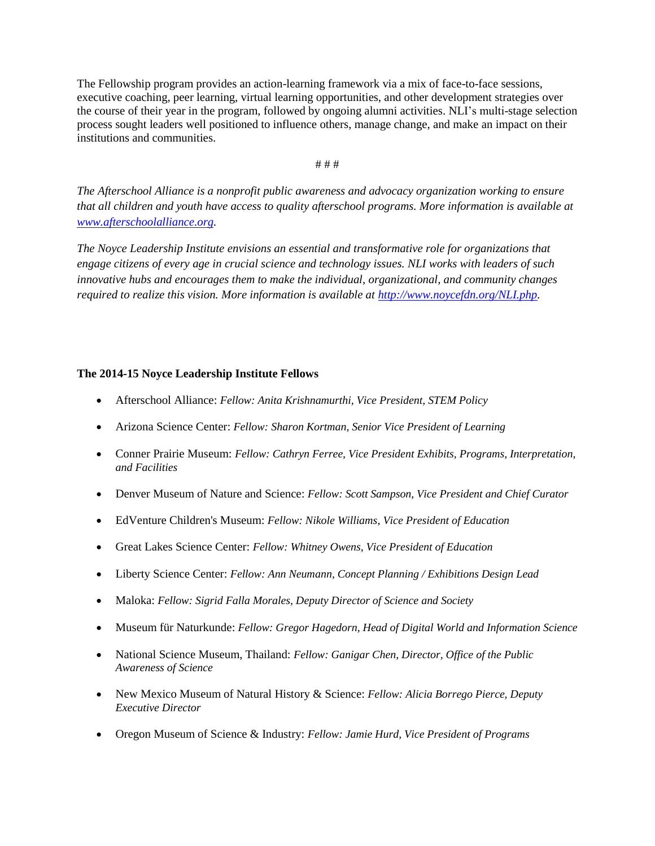The Fellowship program provides an action-learning framework via a mix of face-to-face sessions, executive coaching, peer learning, virtual learning opportunities, and other development strategies over the course of their year in the program, followed by ongoing alumni activities. NLI's multi-stage selection process sought leaders well positioned to influence others, manage change, and make an impact on their institutions and communities.

# # #

*The Afterschool Alliance is a nonprofit public awareness and advocacy organization working to ensure that all children and youth have access to quality afterschool programs. More information is available at [www.afterschoolalliance.org.](http://www.afterschoolalliance.org/)*

*The Noyce Leadership Institute envisions an essential and transformative role for organizations that engage citizens of every age in crucial science and technology issues. NLI works with leaders of such innovative hubs and encourages them to make the individual, organizational, and community changes required to realize this vision. More information is available at [http://www.noycefdn.org/NLI.php.](http://www.noycefdn.org/NLI.php)* 

## **The 2014-15 Noyce Leadership Institute Fellows**

- Afterschool Alliance: *Fellow: Anita Krishnamurthi, Vice President, STEM Policy*
- Arizona Science Center: *Fellow: Sharon Kortman, Senior Vice President of Learning*
- Conner Prairie Museum: *Fellow: Cathryn Ferree, Vice President Exhibits, Programs, Interpretation, and Facilities*
- Denver Museum of Nature and Science: *Fellow: Scott Sampson, Vice President and Chief Curator*
- EdVenture Children's Museum: *Fellow: Nikole Williams, Vice President of Education*
- Great Lakes Science Center: *Fellow: Whitney Owens, Vice President of Education*
- Liberty Science Center: *Fellow: Ann Neumann, Concept Planning / Exhibitions Design Lead*
- Maloka: *Fellow: Sigrid Falla Morales, Deputy Director of Science and Society*
- Museum für Naturkunde: *Fellow: Gregor Hagedorn, Head of Digital World and Information Science*
- National Science Museum, Thailand: *Fellow: Ganigar Chen, Director, Office of the Public Awareness of Science*
- New Mexico Museum of Natural History & Science: *Fellow: Alicia Borrego Pierce, Deputy Executive Director*
- Oregon Museum of Science & Industry: *Fellow: Jamie Hurd, Vice President of Programs*